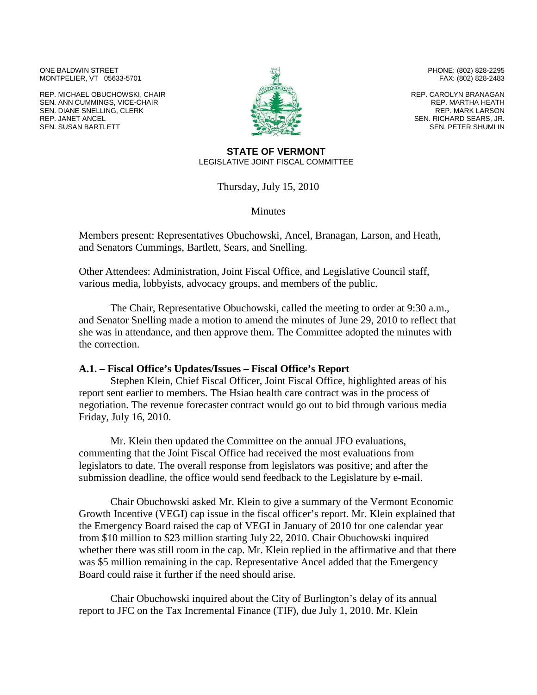ONE BALDWIN STREET MONTPELIER, VT 05633-5701

REP. MICHAEL OBUCHOWSKI, CHAIR SEN. ANN CUMMINGS, VICE-CHAIR SEN. DIANE SNELLING, CLERK REP. JANET ANCEL SEN. SUSAN BARTLETT



PHONE: (802) 828-2295 FAX: (802) 828-2483

REP. CAROLYN BRANAGAN REP. MARTHA HEATH REP. MARK LARSON SEN. RICHARD SEARS, JR. SEN. PETER SHUMLIN

#### **STATE OF VERMONT** LEGISLATIVE JOINT FISCAL COMMITTEE

Thursday, July 15, 2010

**Minutes** 

Members present: Representatives Obuchowski, Ancel, Branagan, Larson, and Heath, and Senators Cummings, Bartlett, Sears, and Snelling.

Other Attendees: Administration, Joint Fiscal Office, and Legislative Council staff, various media, lobbyists, advocacy groups, and members of the public.

The Chair, Representative Obuchowski, called the meeting to order at 9:30 a.m., and Senator Snelling made a motion to amend the minutes of June 29, 2010 to reflect that she was in attendance, and then approve them. The Committee adopted the minutes with the correction.

#### **A.1. – Fiscal Office's Updates/Issues – Fiscal Office's Report**

Stephen Klein, Chief Fiscal Officer, Joint Fiscal Office, highlighted areas of his report sent earlier to members. The Hsiao health care contract was in the process of negotiation. The revenue forecaster contract would go out to bid through various media Friday, July 16, 2010.

Mr. Klein then updated the Committee on the annual JFO evaluations, commenting that the Joint Fiscal Office had received the most evaluations from legislators to date. The overall response from legislators was positive; and after the submission deadline, the office would send feedback to the Legislature by e-mail.

Chair Obuchowski asked Mr. Klein to give a summary of the Vermont Economic Growth Incentive (VEGI) cap issue in the fiscal officer's report. Mr. Klein explained that the Emergency Board raised the cap of VEGI in January of 2010 for one calendar year from \$10 million to \$23 million starting July 22, 2010. Chair Obuchowski inquired whether there was still room in the cap. Mr. Klein replied in the affirmative and that there was \$5 million remaining in the cap. Representative Ancel added that the Emergency Board could raise it further if the need should arise.

Chair Obuchowski inquired about the City of Burlington's delay of its annual report to JFC on the Tax Incremental Finance (TIF), due July 1, 2010. Mr. Klein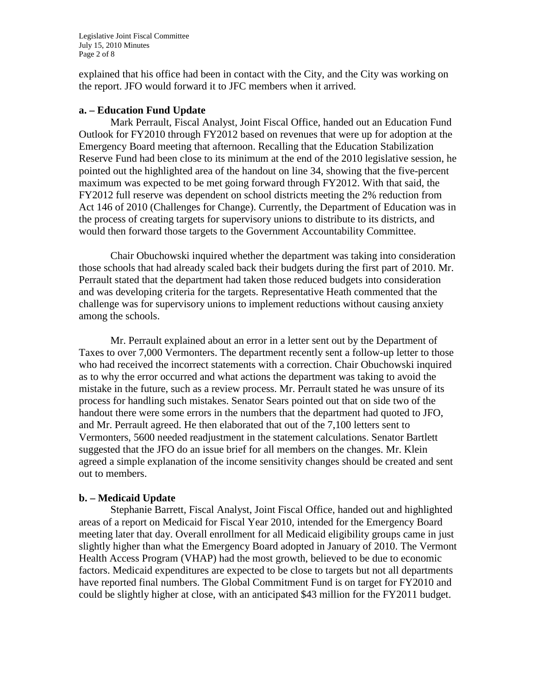Legislative Joint Fiscal Committee July 15, 2010 Minutes Page 2 of 8

explained that his office had been in contact with the City, and the City was working on the report. JFO would forward it to JFC members when it arrived.

#### **a. – Education Fund Update**

Mark Perrault, Fiscal Analyst, Joint Fiscal Office, handed out an Education Fund Outlook for FY2010 through FY2012 based on revenues that were up for adoption at the Emergency Board meeting that afternoon. Recalling that the Education Stabilization Reserve Fund had been close to its minimum at the end of the 2010 legislative session, he pointed out the highlighted area of the handout on line 34, showing that the five-percent maximum was expected to be met going forward through FY2012. With that said, the FY2012 full reserve was dependent on school districts meeting the 2% reduction from Act 146 of 2010 (Challenges for Change). Currently, the Department of Education was in the process of creating targets for supervisory unions to distribute to its districts, and would then forward those targets to the Government Accountability Committee.

Chair Obuchowski inquired whether the department was taking into consideration those schools that had already scaled back their budgets during the first part of 2010. Mr. Perrault stated that the department had taken those reduced budgets into consideration and was developing criteria for the targets. Representative Heath commented that the challenge was for supervisory unions to implement reductions without causing anxiety among the schools.

Mr. Perrault explained about an error in a letter sent out by the Department of Taxes to over 7,000 Vermonters. The department recently sent a follow-up letter to those who had received the incorrect statements with a correction. Chair Obuchowski inquired as to why the error occurred and what actions the department was taking to avoid the mistake in the future, such as a review process. Mr. Perrault stated he was unsure of its process for handling such mistakes. Senator Sears pointed out that on side two of the handout there were some errors in the numbers that the department had quoted to JFO, and Mr. Perrault agreed. He then elaborated that out of the 7,100 letters sent to Vermonters, 5600 needed readjustment in the statement calculations. Senator Bartlett suggested that the JFO do an issue brief for all members on the changes. Mr. Klein agreed a simple explanation of the income sensitivity changes should be created and sent out to members.

## **b. – Medicaid Update**

Stephanie Barrett, Fiscal Analyst, Joint Fiscal Office, handed out and highlighted areas of a report on Medicaid for Fiscal Year 2010, intended for the Emergency Board meeting later that day. Overall enrollment for all Medicaid eligibility groups came in just slightly higher than what the Emergency Board adopted in January of 2010. The Vermont Health Access Program (VHAP) had the most growth, believed to be due to economic factors. Medicaid expenditures are expected to be close to targets but not all departments have reported final numbers. The Global Commitment Fund is on target for FY2010 and could be slightly higher at close, with an anticipated \$43 million for the FY2011 budget.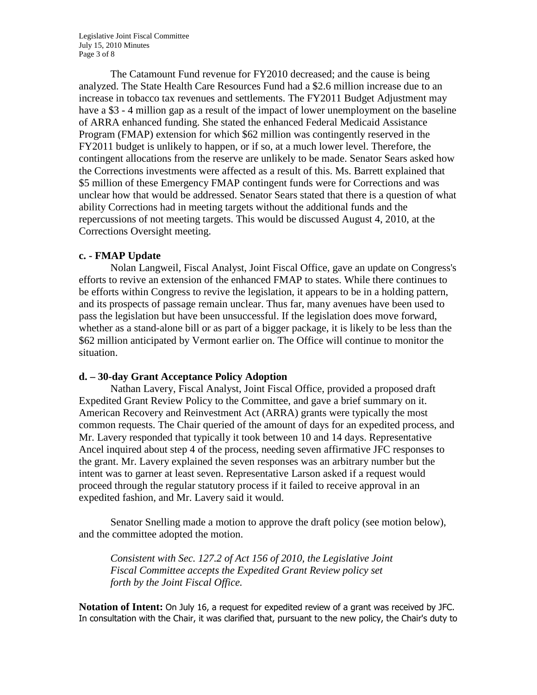Legislative Joint Fiscal Committee July 15, 2010 Minutes Page 3 of 8

The Catamount Fund revenue for FY2010 decreased; and the cause is being analyzed. The State Health Care Resources Fund had a \$2.6 million increase due to an increase in tobacco tax revenues and settlements. The FY2011 Budget Adjustment may have a \$3 - 4 million gap as a result of the impact of lower unemployment on the baseline of ARRA enhanced funding. She stated the enhanced Federal Medicaid Assistance Program (FMAP) extension for which \$62 million was contingently reserved in the FY2011 budget is unlikely to happen, or if so, at a much lower level. Therefore, the contingent allocations from the reserve are unlikely to be made. Senator Sears asked how the Corrections investments were affected as a result of this. Ms. Barrett explained that \$5 million of these Emergency FMAP contingent funds were for Corrections and was unclear how that would be addressed. Senator Sears stated that there is a question of what ability Corrections had in meeting targets without the additional funds and the repercussions of not meeting targets. This would be discussed August 4, 2010, at the Corrections Oversight meeting.

## **c. - FMAP Update**

Nolan Langweil, Fiscal Analyst, Joint Fiscal Office, gave an update on Congress's efforts to revive an extension of the enhanced FMAP to states. While there continues to be efforts within Congress to revive the legislation, it appears to be in a holding pattern, and its prospects of passage remain unclear. Thus far, many avenues have been used to pass the legislation but have been unsuccessful. If the legislation does move forward, whether as a stand-alone bill or as part of a bigger package, it is likely to be less than the \$62 million anticipated by Vermont earlier on. The Office will continue to monitor the situation.

## **d. – 30-day Grant Acceptance Policy Adoption**

Nathan Lavery, Fiscal Analyst, Joint Fiscal Office, provided a proposed draft Expedited Grant Review Policy to the Committee, and gave a brief summary on it. American Recovery and Reinvestment Act (ARRA) grants were typically the most common requests. The Chair queried of the amount of days for an expedited process, and Mr. Lavery responded that typically it took between 10 and 14 days. Representative Ancel inquired about step 4 of the process, needing seven affirmative JFC responses to the grant. Mr. Lavery explained the seven responses was an arbitrary number but the intent was to garner at least seven. Representative Larson asked if a request would proceed through the regular statutory process if it failed to receive approval in an expedited fashion, and Mr. Lavery said it would.

Senator Snelling made a motion to approve the draft policy (see motion below), and the committee adopted the motion.

*Consistent with Sec. 127.2 of Act 156 of 2010, the Legislative Joint Fiscal Committee accepts the Expedited Grant Review policy set forth by the Joint Fiscal Office.*

**Notation of Intent:** On July 16, a request for expedited review of a grant was received by JFC. In consultation with the Chair, it was clarified that, pursuant to the new policy, the Chair's duty to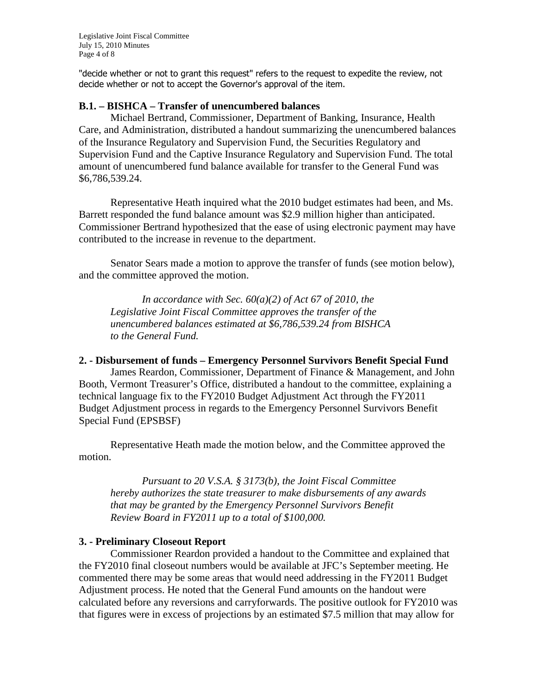Legislative Joint Fiscal Committee July 15, 2010 Minutes Page 4 of 8

"decide whether or not to grant this request" refers to the request to expedite the review, not decide whether or not to accept the Governor's approval of the item.

#### **B.1. – BISHCA – Transfer of unencumbered balances**

Michael Bertrand, Commissioner, Department of Banking, Insurance, Health Care, and Administration, distributed a handout summarizing the unencumbered balances of the Insurance Regulatory and Supervision Fund, the Securities Regulatory and Supervision Fund and the Captive Insurance Regulatory and Supervision Fund. The total amount of unencumbered fund balance available for transfer to the General Fund was \$6,786,539.24.

Representative Heath inquired what the 2010 budget estimates had been, and Ms. Barrett responded the fund balance amount was \$2.9 million higher than anticipated. Commissioner Bertrand hypothesized that the ease of using electronic payment may have contributed to the increase in revenue to the department.

Senator Sears made a motion to approve the transfer of funds (see motion below), and the committee approved the motion.

*In accordance with Sec. 60(a)(2) of Act 67 of 2010, the Legislative Joint Fiscal Committee approves the transfer of the unencumbered balances estimated at \$6,786,539.24 from BISHCA to the General Fund.*

#### **2. - Disbursement of funds – Emergency Personnel Survivors Benefit Special Fund**

James Reardon, Commissioner, Department of Finance & Management, and John Booth, Vermont Treasurer's Office, distributed a handout to the committee, explaining a technical language fix to the FY2010 Budget Adjustment Act through the FY2011 Budget Adjustment process in regards to the Emergency Personnel Survivors Benefit Special Fund (EPSBSF)

Representative Heath made the motion below, and the Committee approved the motion.

*Pursuant to 20 V.S.A. § 3173(b), the Joint Fiscal Committee hereby authorizes the state treasurer to make disbursements of any awards that may be granted by the Emergency Personnel Survivors Benefit Review Board in FY2011 up to a total of \$100,000.*

#### **3. - Preliminary Closeout Report**

Commissioner Reardon provided a handout to the Committee and explained that the FY2010 final closeout numbers would be available at JFC's September meeting. He commented there may be some areas that would need addressing in the FY2011 Budget Adjustment process. He noted that the General Fund amounts on the handout were calculated before any reversions and carryforwards. The positive outlook for FY2010 was that figures were in excess of projections by an estimated \$7.5 million that may allow for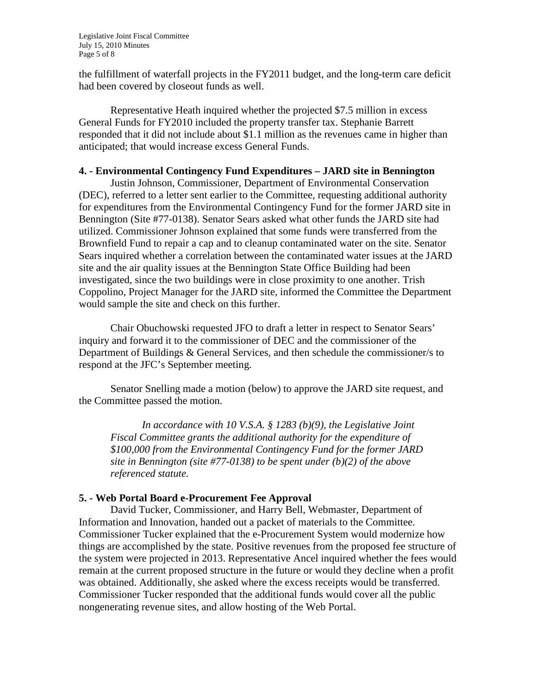the fulfillment of waterfall projects in the FY2011 budget, and the long-term care deficit had been covered by closeout funds as well.

Representative Heath inquired whether the projected \$7.5 million in excess General Funds for FY2010 included the property transfer tax. Stephanie Barrett responded that it did not include about \$1.1 million as the revenues came in higher than anticipated; that would increase excess General Funds.

## **4. - Environmental Contingency Fund Expenditures – JARD site in Bennington**

Justin Johnson, Commissioner, Department of Environmental Conservation (DEC), referred to a letter sent earlier to the Committee, requesting additional authority for expenditures from the Environmental Contingency Fund for the former JARD site in Bennington (Site #77-0138). Senator Sears asked what other funds the JARD site had utilized. Commissioner Johnson explained that some funds were transferred from the Brownfield Fund to repair a cap and to cleanup contaminated water on the site. Senator Sears inquired whether a correlation between the contaminated water issues at the JARD site and the air quality issues at the Bennington State Office Building had been investigated, since the two buildings were in close proximity to one another. Trish Coppolino, Project Manager for the JARD site, informed the Committee the Department would sample the site and check on this further.

Chair Obuchowski requested JFO to draft a letter in respect to Senator Sears' inquiry and forward it to the commissioner of DEC and the commissioner of the Department of Buildings & General Services, and then schedule the commissioner/s to respond at the JFC's September meeting.

Senator Snelling made a motion (below) to approve the JARD site request, and the Committee passed the motion.

*In accordance with 10 V.S.A. § 1283 (b)(9), the Legislative Joint Fiscal Committee grants the additional authority for the expenditure of \$100,000 from the Environmental Contingency Fund for the former JARD site in Bennington (site #77-0138) to be spent under (b)(2) of the above referenced statute.*

## **5. - Web Portal Board e-Procurement Fee Approval**

David Tucker, Commissioner, and Harry Bell, Webmaster, Department of Information and Innovation, handed out a packet of materials to the Committee. Commissioner Tucker explained that the e-Procurement System would modernize how things are accomplished by the state. Positive revenues from the proposed fee structure of the system were projected in 2013. Representative Ancel inquired whether the fees would remain at the current proposed structure in the future or would they decline when a profit was obtained. Additionally, she asked where the excess receipts would be transferred. Commissioner Tucker responded that the additional funds would cover all the public nongenerating revenue sites, and allow hosting of the Web Portal.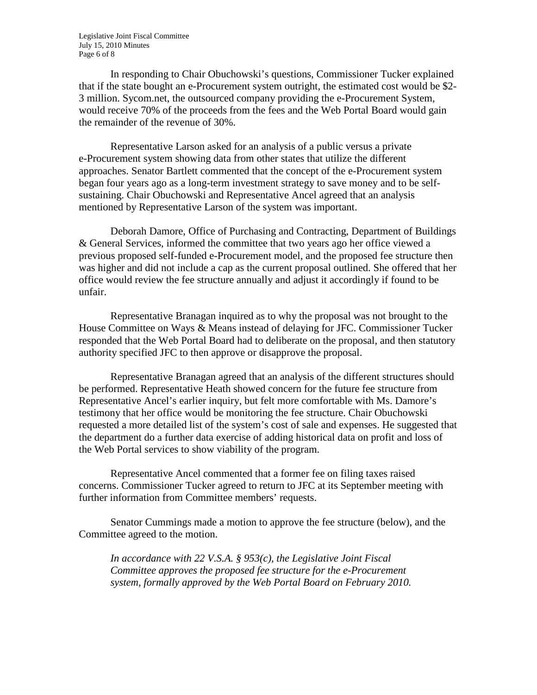Legislative Joint Fiscal Committee July 15, 2010 Minutes Page 6 of 8

In responding to Chair Obuchowski's questions, Commissioner Tucker explained that if the state bought an e-Procurement system outright, the estimated cost would be \$2- 3 million. Sycom.net, the outsourced company providing the e-Procurement System, would receive 70% of the proceeds from the fees and the Web Portal Board would gain the remainder of the revenue of 30%.

Representative Larson asked for an analysis of a public versus a private e-Procurement system showing data from other states that utilize the different approaches. Senator Bartlett commented that the concept of the e-Procurement system began four years ago as a long-term investment strategy to save money and to be selfsustaining. Chair Obuchowski and Representative Ancel agreed that an analysis mentioned by Representative Larson of the system was important.

Deborah Damore, Office of Purchasing and Contracting, Department of Buildings & General Services, informed the committee that two years ago her office viewed a previous proposed self-funded e-Procurement model, and the proposed fee structure then was higher and did not include a cap as the current proposal outlined. She offered that her office would review the fee structure annually and adjust it accordingly if found to be unfair.

Representative Branagan inquired as to why the proposal was not brought to the House Committee on Ways & Means instead of delaying for JFC. Commissioner Tucker responded that the Web Portal Board had to deliberate on the proposal, and then statutory authority specified JFC to then approve or disapprove the proposal.

Representative Branagan agreed that an analysis of the different structures should be performed. Representative Heath showed concern for the future fee structure from Representative Ancel's earlier inquiry, but felt more comfortable with Ms. Damore's testimony that her office would be monitoring the fee structure. Chair Obuchowski requested a more detailed list of the system's cost of sale and expenses. He suggested that the department do a further data exercise of adding historical data on profit and loss of the Web Portal services to show viability of the program.

Representative Ancel commented that a former fee on filing taxes raised concerns. Commissioner Tucker agreed to return to JFC at its September meeting with further information from Committee members' requests.

Senator Cummings made a motion to approve the fee structure (below), and the Committee agreed to the motion.

*In accordance with 22 V.S.A. § 953(c), the Legislative Joint Fiscal Committee approves the proposed fee structure for the e-Procurement system, formally approved by the Web Portal Board on February 2010.*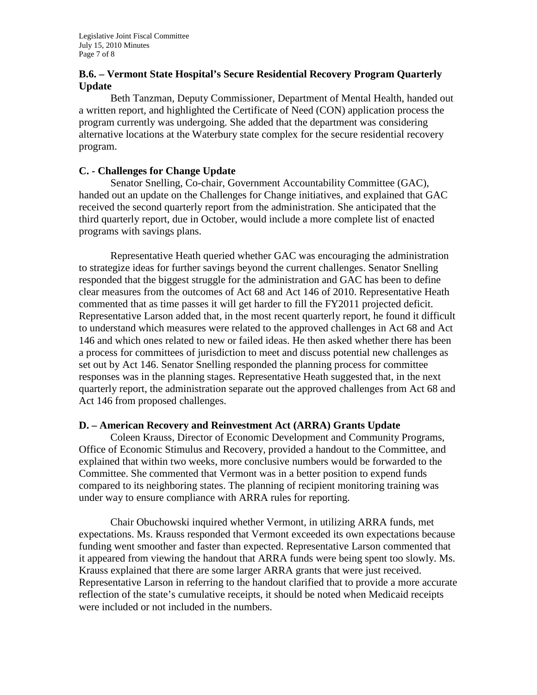# **B.6. – Vermont State Hospital's Secure Residential Recovery Program Quarterly Update**

Beth Tanzman, Deputy Commissioner, Department of Mental Health, handed out a written report, and highlighted the Certificate of Need (CON) application process the program currently was undergoing. She added that the department was considering alternative locations at the Waterbury state complex for the secure residential recovery program.

## **C. - Challenges for Change Update**

Senator Snelling, Co-chair, Government Accountability Committee (GAC), handed out an update on the Challenges for Change initiatives, and explained that GAC received the second quarterly report from the administration. She anticipated that the third quarterly report, due in October, would include a more complete list of enacted programs with savings plans.

Representative Heath queried whether GAC was encouraging the administration to strategize ideas for further savings beyond the current challenges. Senator Snelling responded that the biggest struggle for the administration and GAC has been to define clear measures from the outcomes of Act 68 and Act 146 of 2010. Representative Heath commented that as time passes it will get harder to fill the FY2011 projected deficit. Representative Larson added that, in the most recent quarterly report, he found it difficult to understand which measures were related to the approved challenges in Act 68 and Act 146 and which ones related to new or failed ideas. He then asked whether there has been a process for committees of jurisdiction to meet and discuss potential new challenges as set out by Act 146. Senator Snelling responded the planning process for committee responses was in the planning stages. Representative Heath suggested that, in the next quarterly report, the administration separate out the approved challenges from Act 68 and Act 146 from proposed challenges.

# **D. – American Recovery and Reinvestment Act (ARRA) Grants Update**

Coleen Krauss, Director of Economic Development and Community Programs, Office of Economic Stimulus and Recovery, provided a handout to the Committee, and explained that within two weeks, more conclusive numbers would be forwarded to the Committee. She commented that Vermont was in a better position to expend funds compared to its neighboring states. The planning of recipient monitoring training was under way to ensure compliance with ARRA rules for reporting.

Chair Obuchowski inquired whether Vermont, in utilizing ARRA funds, met expectations. Ms. Krauss responded that Vermont exceeded its own expectations because funding went smoother and faster than expected. Representative Larson commented that it appeared from viewing the handout that ARRA funds were being spent too slowly. Ms. Krauss explained that there are some larger ARRA grants that were just received. Representative Larson in referring to the handout clarified that to provide a more accurate reflection of the state's cumulative receipts, it should be noted when Medicaid receipts were included or not included in the numbers.